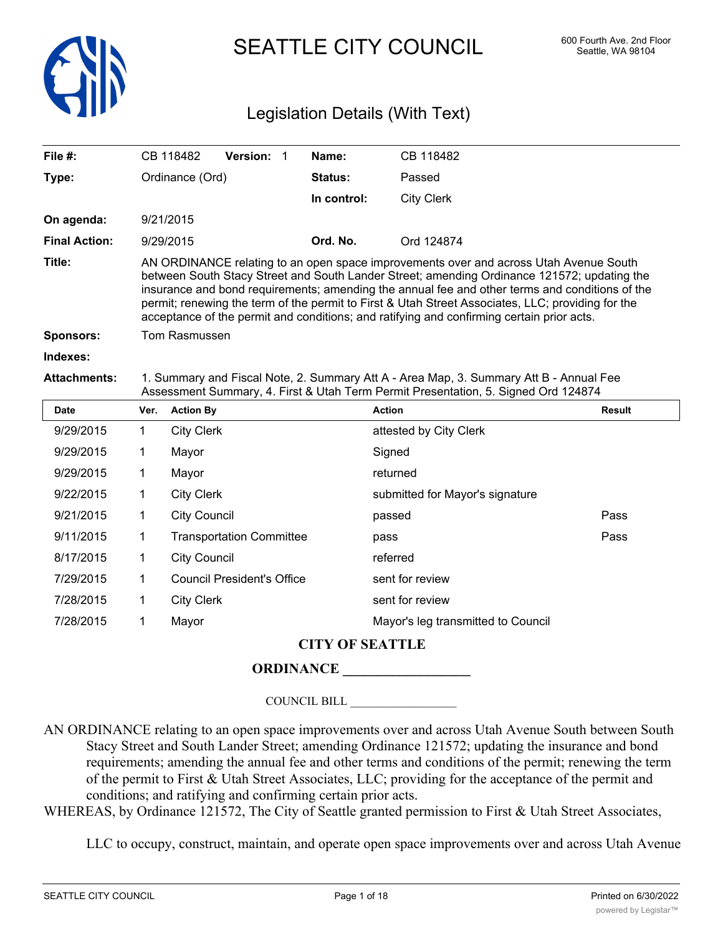

SEATTLE CITY COUNCIL 600 Fourth Ave. 2nd Floor

# Legislation Details (With Text)

| File #:              |                                                                                                                                                                                                                                                                                                                                                                                                                                                                                          | CB 118482           | <b>Version: 1</b>                 |  | Name:          | CB 118482                          |               |  |  |
|----------------------|------------------------------------------------------------------------------------------------------------------------------------------------------------------------------------------------------------------------------------------------------------------------------------------------------------------------------------------------------------------------------------------------------------------------------------------------------------------------------------------|---------------------|-----------------------------------|--|----------------|------------------------------------|---------------|--|--|
| Type:                | Ordinance (Ord)                                                                                                                                                                                                                                                                                                                                                                                                                                                                          |                     |                                   |  | <b>Status:</b> | Passed                             |               |  |  |
|                      |                                                                                                                                                                                                                                                                                                                                                                                                                                                                                          |                     |                                   |  | In control:    | <b>City Clerk</b>                  |               |  |  |
| On agenda:           |                                                                                                                                                                                                                                                                                                                                                                                                                                                                                          | 9/21/2015           |                                   |  |                |                                    |               |  |  |
| <b>Final Action:</b> | 9/29/2015                                                                                                                                                                                                                                                                                                                                                                                                                                                                                |                     |                                   |  | Ord. No.       | Ord 124874                         |               |  |  |
| Title:               | AN ORDINANCE relating to an open space improvements over and across Utah Avenue South<br>between South Stacy Street and South Lander Street; amending Ordinance 121572; updating the<br>insurance and bond requirements; amending the annual fee and other terms and conditions of the<br>permit; renewing the term of the permit to First & Utah Street Associates, LLC; providing for the<br>acceptance of the permit and conditions; and ratifying and confirming certain prior acts. |                     |                                   |  |                |                                    |               |  |  |
| <b>Sponsors:</b>     | Tom Rasmussen                                                                                                                                                                                                                                                                                                                                                                                                                                                                            |                     |                                   |  |                |                                    |               |  |  |
| Indexes:             |                                                                                                                                                                                                                                                                                                                                                                                                                                                                                          |                     |                                   |  |                |                                    |               |  |  |
| <b>Attachments:</b>  | 1. Summary and Fiscal Note, 2. Summary Att A - Area Map, 3. Summary Att B - Annual Fee<br>Assessment Summary, 4. First & Utah Term Permit Presentation, 5. Signed Ord 124874                                                                                                                                                                                                                                                                                                             |                     |                                   |  |                |                                    |               |  |  |
| <b>Date</b>          | Ver.                                                                                                                                                                                                                                                                                                                                                                                                                                                                                     | <b>Action By</b>    |                                   |  |                | <b>Action</b>                      | <b>Result</b> |  |  |
| 9/29/2015            | 1.                                                                                                                                                                                                                                                                                                                                                                                                                                                                                       | <b>City Clerk</b>   |                                   |  |                | attested by City Clerk             |               |  |  |
| 9/29/2015            | 1                                                                                                                                                                                                                                                                                                                                                                                                                                                                                        | Mayor<br>Signed     |                                   |  |                |                                    |               |  |  |
| 9/29/2015            | 1                                                                                                                                                                                                                                                                                                                                                                                                                                                                                        | Mayor               |                                   |  |                | returned                           |               |  |  |
| 9/22/2015            | 1                                                                                                                                                                                                                                                                                                                                                                                                                                                                                        | <b>City Clerk</b>   |                                   |  |                | submitted for Mayor's signature    |               |  |  |
| 9/21/2015            | 1                                                                                                                                                                                                                                                                                                                                                                                                                                                                                        | <b>City Council</b> |                                   |  |                | passed                             | Pass          |  |  |
| 9/11/2015            | 1                                                                                                                                                                                                                                                                                                                                                                                                                                                                                        |                     | <b>Transportation Committee</b>   |  |                | pass                               | Pass          |  |  |
| 8/17/2015            | 1                                                                                                                                                                                                                                                                                                                                                                                                                                                                                        | <b>City Council</b> |                                   |  |                | referred                           |               |  |  |
| 7/29/2015            | 1                                                                                                                                                                                                                                                                                                                                                                                                                                                                                        |                     | <b>Council President's Office</b> |  |                | sent for review                    |               |  |  |
| 7/28/2015            | 1                                                                                                                                                                                                                                                                                                                                                                                                                                                                                        | <b>City Clerk</b>   |                                   |  |                | sent for review                    |               |  |  |
| 7/28/2015            | 1                                                                                                                                                                                                                                                                                                                                                                                                                                                                                        | Mayor               |                                   |  |                | Mayor's leg transmitted to Council |               |  |  |

## **CITY OF SEATTLE**

## **ORDINANCE \_\_\_\_\_\_\_\_\_\_\_\_\_\_\_\_\_\_**

COUNCIL BILL \_\_\_\_\_\_\_\_\_\_\_\_\_\_\_\_\_\_

AN ORDINANCE relating to an open space improvements over and across Utah Avenue South between South Stacy Street and South Lander Street; amending Ordinance 121572; updating the insurance and bond requirements; amending the annual fee and other terms and conditions of the permit; renewing the term of the permit to First & Utah Street Associates, LLC; providing for the acceptance of the permit and conditions; and ratifying and confirming certain prior acts.

WHEREAS, by Ordinance 121572, The City of Seattle granted permission to First & Utah Street Associates,

LLC to occupy, construct, maintain, and operate open space improvements over and across Utah Avenue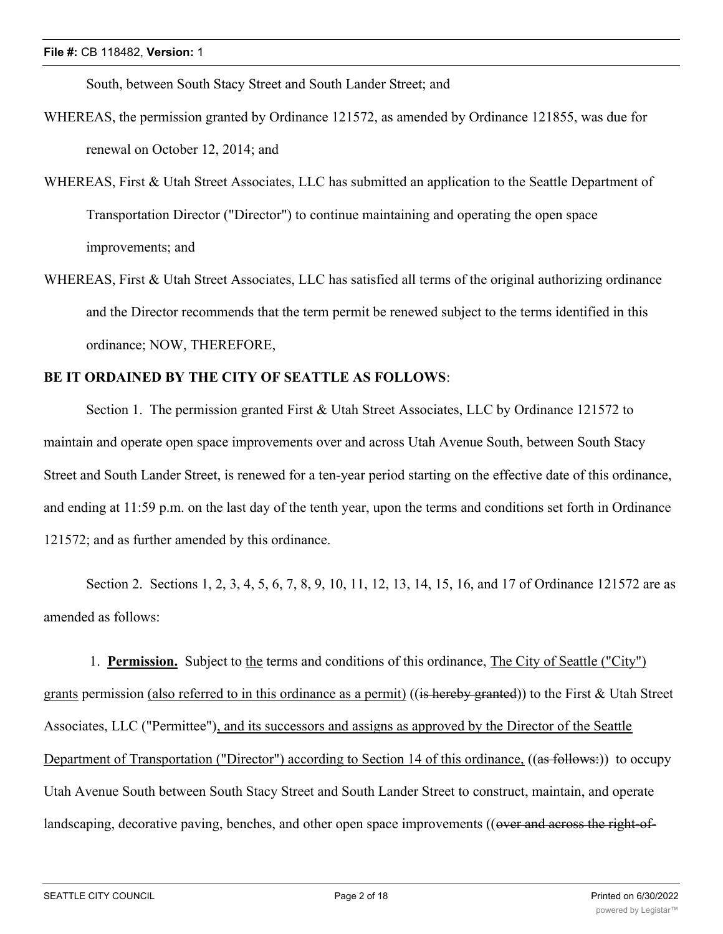South, between South Stacy Street and South Lander Street; and

- WHEREAS, the permission granted by Ordinance 121572, as amended by Ordinance 121855, was due for renewal on October 12, 2014; and
- WHEREAS, First & Utah Street Associates, LLC has submitted an application to the Seattle Department of Transportation Director ("Director") to continue maintaining and operating the open space improvements; and
- WHEREAS, First & Utah Street Associates, LLC has satisfied all terms of the original authorizing ordinance and the Director recommends that the term permit be renewed subject to the terms identified in this ordinance; NOW, THEREFORE,

## **BE IT ORDAINED BY THE CITY OF SEATTLE AS FOLLOWS**:

Section 1. The permission granted First & Utah Street Associates, LLC by Ordinance 121572 to maintain and operate open space improvements over and across Utah Avenue South, between South Stacy Street and South Lander Street, is renewed for a ten-year period starting on the effective date of this ordinance, and ending at 11:59 p.m. on the last day of the tenth year, upon the terms and conditions set forth in Ordinance 121572; and as further amended by this ordinance.

Section 2. Sections 1, 2, 3, 4, 5, 6, 7, 8, 9, 10, 11, 12, 13, 14, 15, 16, and 17 of Ordinance 121572 are as amended as follows:

 1. **Permission.** Subject to the terms and conditions of this ordinance, The City of Seattle ("City") grants permission (also referred to in this ordinance as a permit) ((is hereby granted)) to the First & Utah Street Associates, LLC ("Permittee"), and its successors and assigns as approved by the Director of the Seattle Department of Transportation ("Director") according to Section 14 of this ordinance, ((as follows:)) to occupy Utah Avenue South between South Stacy Street and South Lander Street to construct, maintain, and operate landscaping, decorative paving, benches, and other open space improvements ((over and across the right-of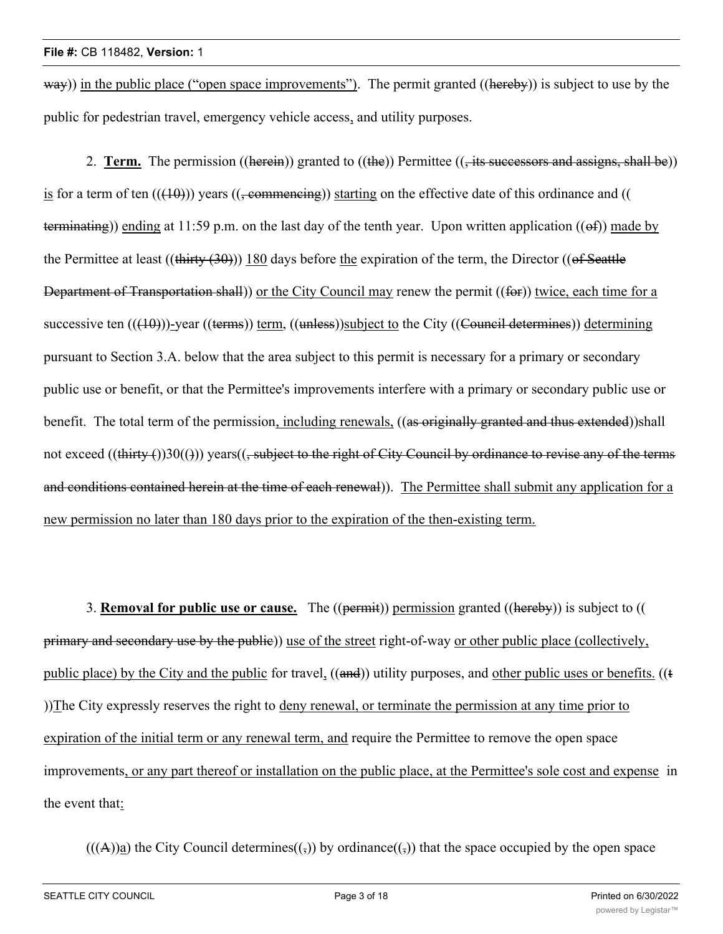way)) in the public place ("open space improvements"). The permit granted ((hereby)) is subject to use by the public for pedestrian travel, emergency vehicle access, and utility purposes.

2. **Term.** The permission ((herein)) granted to ((the)) Permittee (( $\frac{1}{1}$  its successors and assigns, shall be)) is for a term of ten  $((10))$  years  $((\text{permemening}))$  starting on the effective date of this ordinance and (() terminating)) ending at 11:59 p.m. on the last day of the tenth year. Upon written application  $((\theta f))$  made by the Permittee at least  $((\text{thirty} (30)))$  180 days before the expiration of the term, the Director  $((\text{of Seattle})$ Department of Transportation shall)) or the City Council may renew the permit ((for)) twice, each time for a successive ten (((10)))-year ((terms)) term, ((unless))subject to the City ((Council determines)) determining pursuant to Section 3.A. below that the area subject to this permit is necessary for a primary or secondary public use or benefit, or that the Permittee's improvements interfere with a primary or secondary public use or benefit. The total term of the permission, including renewals, ((as originally granted and thus extended))shall not exceed ((thirty ())30(())) years((, subject to the right of City Council by ordinance to revise any of the terms and conditions contained herein at the time of each renewal)). The Permittee shall submit any application for a new permission no later than 180 days prior to the expiration of the then-existing term.

3. **Removal for public use or cause.** The ((permit)) permission granted ((hereby)) is subject to (( primary and secondary use by the public)) use of the street right-of-way or other public place (collectively, public place) by the City and the public for travel, ((and)) utility purposes, and other public uses or benefits. ((t ))The City expressly reserves the right to deny renewal, or terminate the permission at any time prior to expiration of the initial term or any renewal term, and require the Permittee to remove the open space improvements, or any part thereof or installation on the public place, at the Permittee's sole cost and expense in the event that:

 $(((A))\underline{a})$  the City Council determines $((,))$  by ordinance $((,))$  that the space occupied by the open space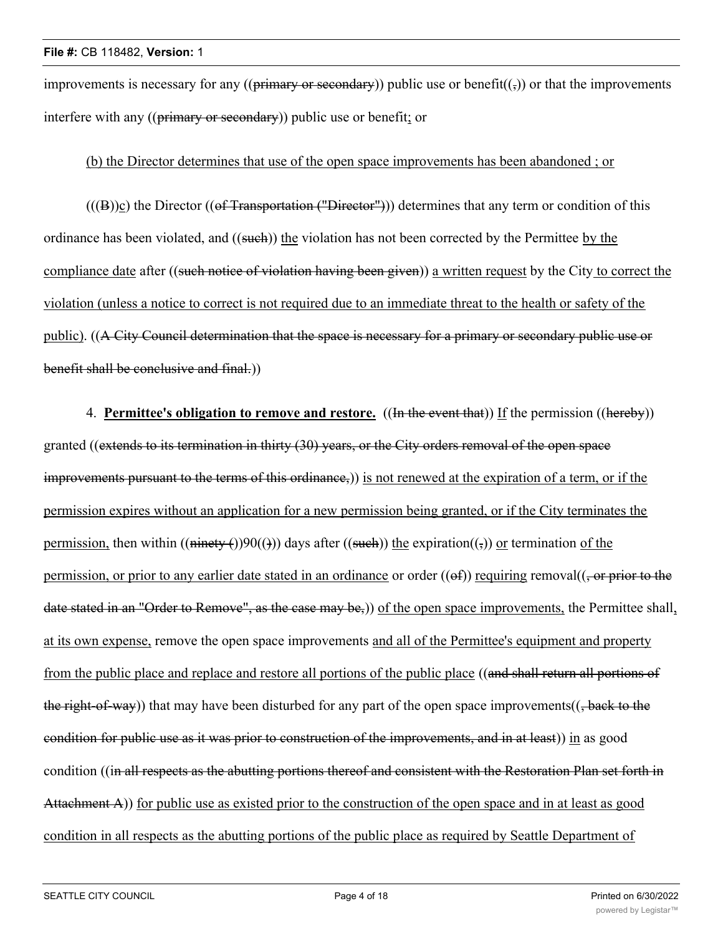improvements is necessary for any (( $\frac{\text{primary of } \text{secondary}}{\text{program of } \text{public use or benefit}(\frac{1}{2})}$  or that the improvements interfere with any ((primary or secondary)) public use or benefit; or

### (b) the Director determines that use of the open space improvements has been abandoned ; or

 $(((B))<sub>C</sub>)$  the Director  $((of Transformation ("Director")))$  determines that any term or condition of this ordinance has been violated, and ((such)) the violation has not been corrected by the Permittee by the compliance date after ((such notice of violation having been given)) a written request by the City to correct the violation (unless a notice to correct is not required due to an immediate threat to the health or safety of the public). ((A City Council determination that the space is necessary for a primary or secondary public use or benefit shall be conclusive and final.))

4. **Permittee's obligation to remove and restore.** ((In the event that)) If the permission ((hereby)) granted ((extends to its termination in thirty (30) years, or the City orders removal of the open space improvements pursuant to the terms of this ordinance,)) is not renewed at the expiration of a term, or if the permission expires without an application for a new permission being granted, or if the City terminates the permission, then within  $((\text{minety } f))90(())$  days after  $((\text{such}))$  the expiration $((,))$  or termination of the permission, or prior to any earlier date stated in an ordinance or order  $((ef))$  requiring removal $((, or prior to the$ date stated in an "Order to Remove", as the case may be,)) of the open space improvements, the Permittee shall, at its own expense, remove the open space improvements and all of the Permittee's equipment and property from the public place and replace and restore all portions of the public place ((and shall return all portions of the right-of-way)) that may have been disturbed for any part of the open space improvements( $($ , back to the condition for public use as it was prior to construction of the improvements, and in at least)) in as good condition ((in all respects as the abutting portions thereof and consistent with the Restoration Plan set forth in Attachment A)) for public use as existed prior to the construction of the open space and in at least as good condition in all respects as the abutting portions of the public place as required by Seattle Department of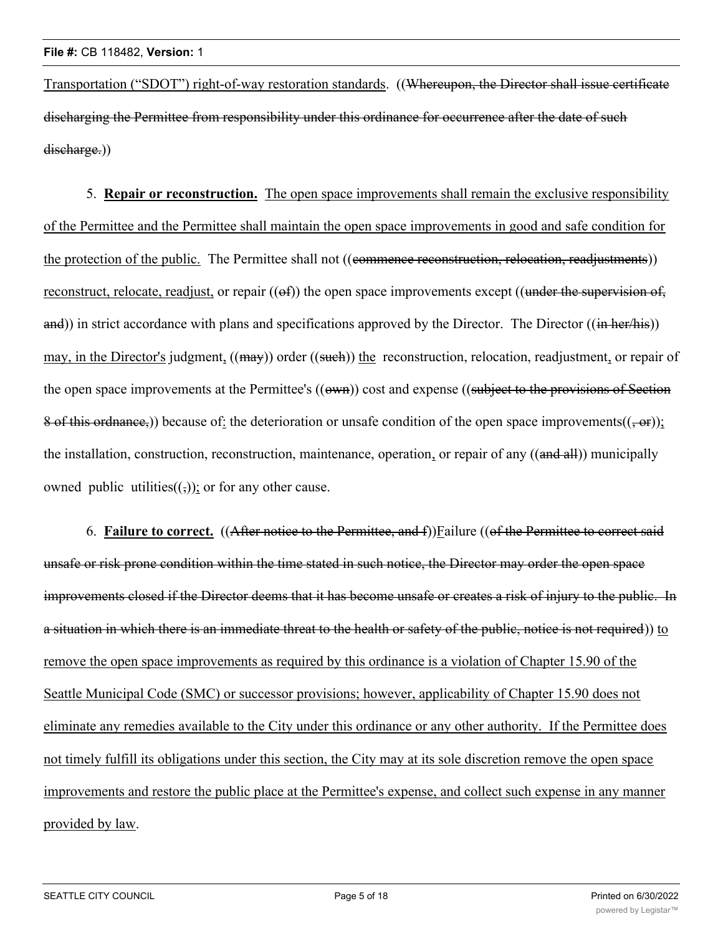Transportation ("SDOT") right-of-way restoration standards. ((Whereupon, the Director shall issue certificate discharging the Permittee from responsibility under this ordinance for occurrence after the date of such discharge.))

5. **Repair or reconstruction.** The open space improvements shall remain the exclusive responsibility of the Permittee and the Permittee shall maintain the open space improvements in good and safe condition for the protection of the public. The Permittee shall not ((commence reconstruction, relocation, readjustments)) reconstruct, relocate, readjust, or repair  $((ef))$  the open space improvements except  $((under the *supervision-of*,$ and)) in strict accordance with plans and specifications approved by the Director. The Director ((in her/his)) may, in the Director's judgment, ((may)) order ((such)) the reconstruction, relocation, readjustment, or repair of the open space improvements at the Permittee's ((own)) cost and expense ((subject to the provisions of Section 8 of this ordnance,)) because of: the deterioration or unsafe condition of the open space improvements( $(-\theta r)$ ); the installation, construction, reconstruction, maintenance, operation, or repair of any ((and all)) municipally owned public utilities $((\tau))$ ; or for any other cause.

6. **Failure to correct.** ((After notice to the Permittee, and f))Failure ((of the Permittee to correct said unsafe or risk prone condition within the time stated in such notice, the Director may order the open space improvements closed if the Director deems that it has become unsafe or creates a risk of injury to the public. In a situation in which there is an immediate threat to the health or safety of the public, notice is not required)) to remove the open space improvements as required by this ordinance is a violation of Chapter 15.90 of the Seattle Municipal Code (SMC) or successor provisions; however, applicability of Chapter 15.90 does not eliminate any remedies available to the City under this ordinance or any other authority. If the Permittee does not timely fulfill its obligations under this section, the City may at its sole discretion remove the open space improvements and restore the public place at the Permittee's expense, and collect such expense in any manner provided by law.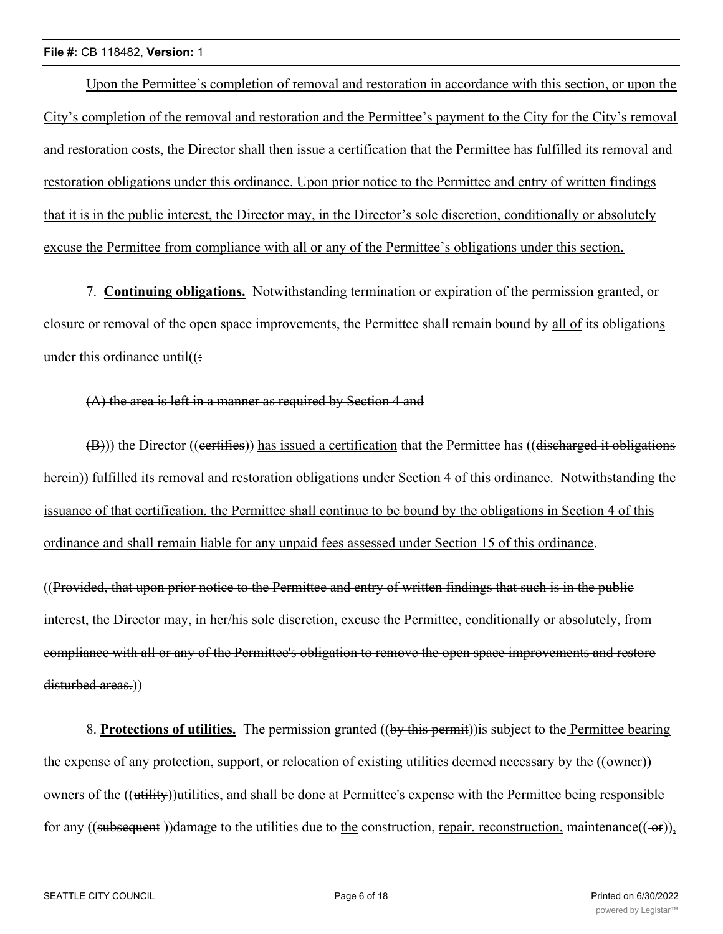#### **File #:** CB 118482, **Version:** 1

Upon the Permittee's completion of removal and restoration in accordance with this section, or upon the City's completion of the removal and restoration and the Permittee's payment to the City for the City's removal and restoration costs, the Director shall then issue a certification that the Permittee has fulfilled its removal and restoration obligations under this ordinance. Upon prior notice to the Permittee and entry of written findings that it is in the public interest, the Director may, in the Director's sole discretion, conditionally or absolutely excuse the Permittee from compliance with all or any of the Permittee's obligations under this section.

7. **Continuing obligations.** Notwithstanding termination or expiration of the permission granted, or closure or removal of the open space improvements, the Permittee shall remain bound by all of its obligations under this ordinance until $((\div)$ 

#### (A) the area is left in a manner as required by Section 4 and

 $(\overline{B})$ ) the Director ((certifies)) has issued a certification that the Permittee has ((discharged it obligations herein)) fulfilled its removal and restoration obligations under Section 4 of this ordinance. Notwithstanding the issuance of that certification, the Permittee shall continue to be bound by the obligations in Section 4 of this ordinance and shall remain liable for any unpaid fees assessed under Section 15 of this ordinance.

((Provided, that upon prior notice to the Permittee and entry of written findings that such is in the public interest, the Director may, in her/his sole discretion, excuse the Permittee, conditionally or absolutely, from compliance with all or any of the Permittee's obligation to remove the open space improvements and restore disturbed areas.)

8. **Protections of utilities.** The permission granted ((by this permit))is subject to the Permittee bearing the expense of any protection, support, or relocation of existing utilities deemed necessary by the ((owner)) owners of the ((utility))utilities, and shall be done at Permittee's expense with the Permittee being responsible for any ((subsequent))damage to the utilities due to the construction, repair, reconstruction, maintenance( $(-\theta r)$ ),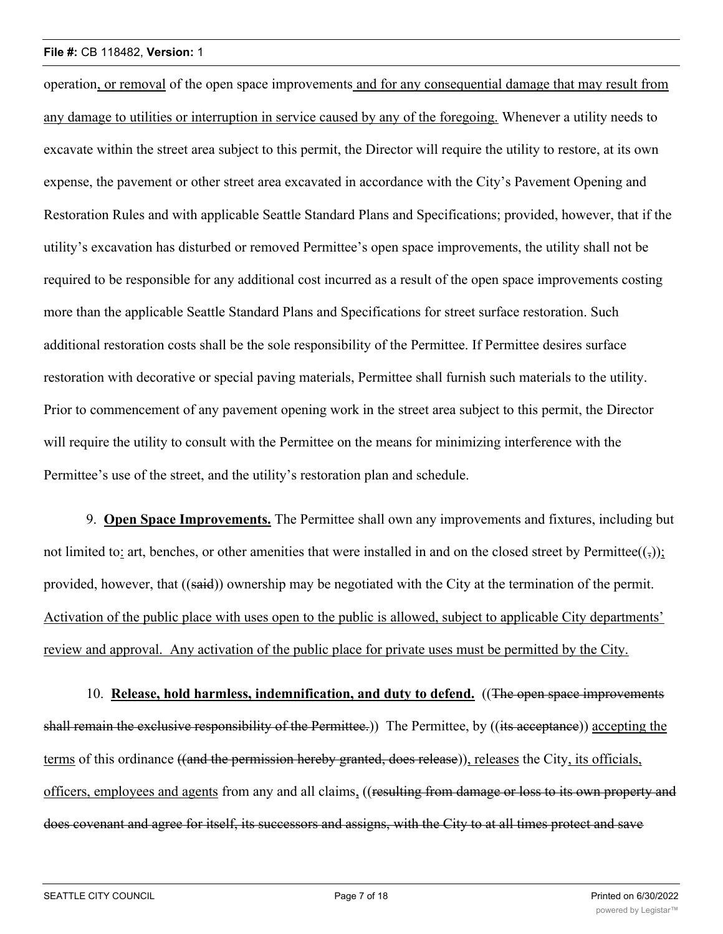#### **File #:** CB 118482, **Version:** 1

operation, or removal of the open space improvements and for any consequential damage that may result from any damage to utilities or interruption in service caused by any of the foregoing. Whenever a utility needs to excavate within the street area subject to this permit, the Director will require the utility to restore, at its own expense, the pavement or other street area excavated in accordance with the City's Pavement Opening and Restoration Rules and with applicable Seattle Standard Plans and Specifications; provided, however, that if the utility's excavation has disturbed or removed Permittee's open space improvements, the utility shall not be required to be responsible for any additional cost incurred as a result of the open space improvements costing more than the applicable Seattle Standard Plans and Specifications for street surface restoration. Such additional restoration costs shall be the sole responsibility of the Permittee. If Permittee desires surface restoration with decorative or special paving materials, Permittee shall furnish such materials to the utility. Prior to commencement of any pavement opening work in the street area subject to this permit, the Director will require the utility to consult with the Permittee on the means for minimizing interference with the Permittee's use of the street, and the utility's restoration plan and schedule.

9. **Open Space Improvements.** The Permittee shall own any improvements and fixtures, including but not limited to: art, benches, or other amenities that were installed in and on the closed street by Permittee $((,))$ ; provided, however, that ((said)) ownership may be negotiated with the City at the termination of the permit. Activation of the public place with uses open to the public is allowed, subject to applicable City departments' review and approval. Any activation of the public place for private uses must be permitted by the City.

10. **Release, hold harmless, indemnification, and duty to defend.** ((The open space improvements shall remain the exclusive responsibility of the Permittee.) The Permittee, by ((its acceptance)) accepting the terms of this ordinance ((and the permission hereby granted, does release)), releases the City, its officials, officers, employees and agents from any and all claims, ((resulting from damage or loss to its own property and does covenant and agree for itself, its successors and assigns, with the City to at all times protect and save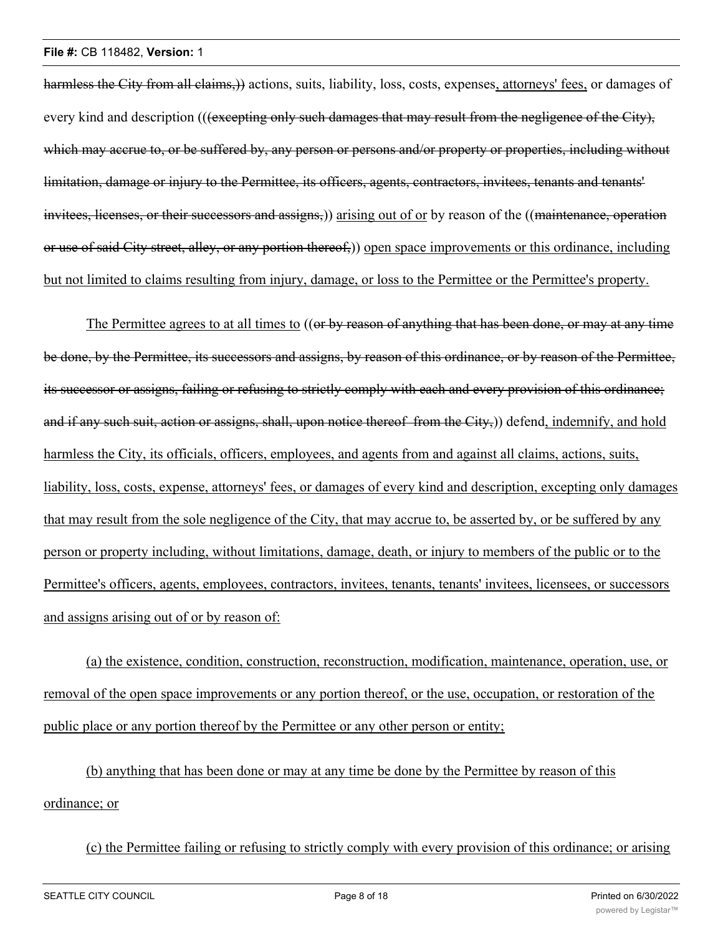#### **File #:** CB 118482, **Version:** 1

harmless the City from all claims,)) actions, suits, liability, loss, costs, expenses, attorneys' fees, or damages of every kind and description (((excepting only such damages that may result from the negligence of the City), which may accrue to, or be suffered by, any person or persons and/or property or properties, including without limitation, damage or injury to the Permittee, its officers, agents, contractors, invitees, tenants and tenants' invitees, licenses, or their successors and assigns,)) arising out of or by reason of the ((maintenance, operation or use of said City street, alley, or any portion thereof,)) open space improvements or this ordinance, including but not limited to claims resulting from injury, damage, or loss to the Permittee or the Permittee's property.

The Permittee agrees to at all times to ((or by reason of anything that has been done, or may at any time be done, by the Permittee, its successors and assigns, by reason of this ordinance, or by reason of the Permittee, its successor or assigns, failing or refusing to strictly comply with each and every provision of this ordinance; and if any such suit, action or assigns, shall, upon notice thereof from the City,)) defend, indemnify, and hold harmless the City, its officials, officers, employees, and agents from and against all claims, actions, suits, liability, loss, costs, expense, attorneys' fees, or damages of every kind and description, excepting only damages that may result from the sole negligence of the City, that may accrue to, be asserted by, or be suffered by any person or property including, without limitations, damage, death, or injury to members of the public or to the Permittee's officers, agents, employees, contractors, invitees, tenants, tenants' invitees, licensees, or successors and assigns arising out of or by reason of:

(a) the existence, condition, construction, reconstruction, modification, maintenance, operation, use, or removal of the open space improvements or any portion thereof, or the use, occupation, or restoration of the public place or any portion thereof by the Permittee or any other person or entity;

(b) anything that has been done or may at any time be done by the Permittee by reason of this ordinance; or

(c) the Permittee failing or refusing to strictly comply with every provision of this ordinance; or arising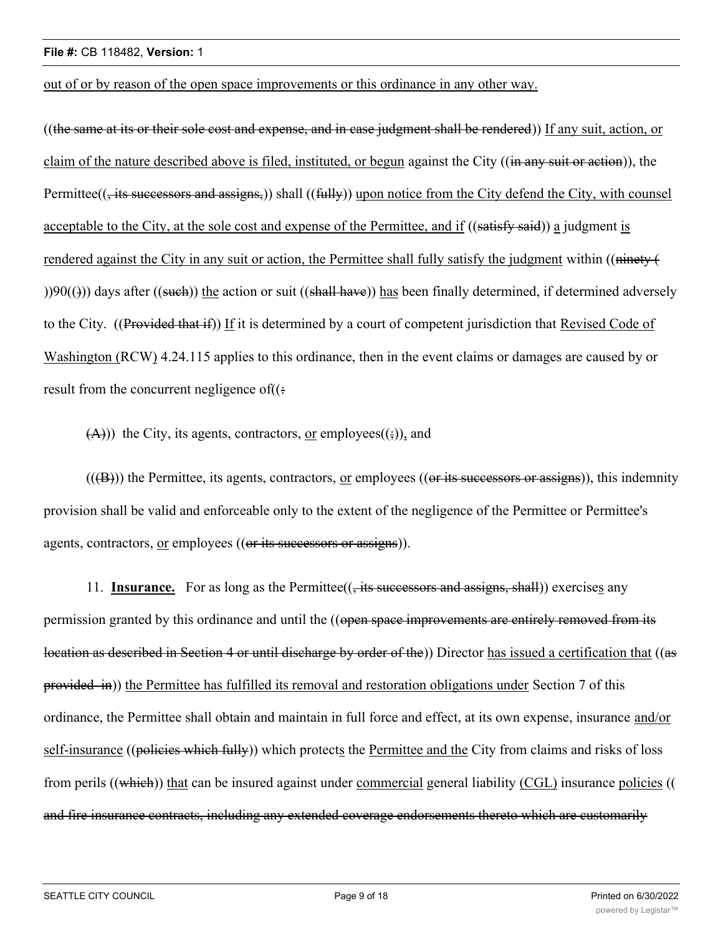out of or by reason of the open space improvements or this ordinance in any other way.

((the same at its or their sole cost and expense, and in case judgment shall be rendered)) If any suit, action, or claim of the nature described above is filed, instituted, or begun against the City ((in any suit or action)), the Permittee((, its successors and assigns,)) shall ((fully)) upon notice from the City defend the City, with counsel acceptable to the City, at the sole cost and expense of the Permittee, and if ((satisfy said)) a judgment is rendered against the City in any suit or action, the Permittee shall fully satisfy the judgment within ((ninety  $\left($  $()$ )90(())) days after ((such)) the action or suit ((shall have)) has been finally determined, if determined adversely to the City. ((Provided that if)) If it is determined by a court of competent jurisdiction that Revised Code of Washington (RCW) 4.24.115 applies to this ordinance, then in the event claims or damages are caused by or result from the concurrent negligence of $((\div)$ 

 $(A)$ )) the City, its agents, contractors, or employees $((\frac{1}{2}))$ , and

 $((**(B)**))$  the Permittee, its agents, contractors, or employees  $((**or its successors or assigns**)), this identity$ provision shall be valid and enforceable only to the extent of the negligence of the Permittee or Permittee's agents, contractors, or employees ((or its successors or assigns)).

11. **Insurance.** For as long as the Permittee(( $\frac{1}{15}$  successors and assigns, shall) exercises any permission granted by this ordinance and until the ((open space improvements are entirely removed from its location as described in Section 4 or until discharge by order of the)) Director has issued a certification that ((as provided in)) the Permittee has fulfilled its removal and restoration obligations under Section 7 of this ordinance, the Permittee shall obtain and maintain in full force and effect, at its own expense, insurance and/or self-insurance ((policies which fully)) which protects the Permittee and the City from claims and risks of loss from perils ((which)) that can be insured against under commercial general liability (CGL) insurance policies (( and fire insurance contracts, including any extended coverage endorsements thereto which are customarily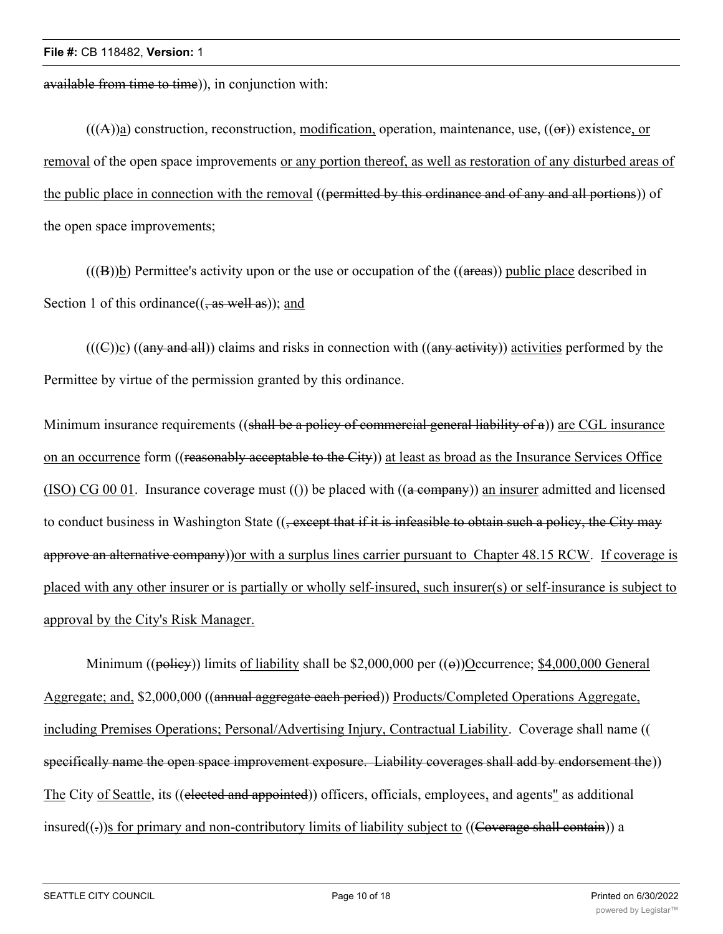available from time to time)), in conjunction with:

 $(((A))<sub>a</sub>)$  construction, reconstruction, modification, operation, maintenance, use,  $((\theta f))$  existence, or removal of the open space improvements or any portion thereof, as well as restoration of any disturbed areas of the public place in connection with the removal ((permitted by this ordinance and of any and all portions)) of the open space improvements;

 $((B))$ b) Permittee's activity upon or the use or occupation of the  $((\text{areas}))$  public place described in Section 1 of this ordinance( $($ , as well as)); and

 $(((\text{C}))c)$  ((any and all)) claims and risks in connection with ((any activity)) activities performed by the Permittee by virtue of the permission granted by this ordinance.

Minimum insurance requirements ((shall be a policy of commercial general liability of  $\alpha$ )) are CGL insurance on an occurrence form ((reasonably acceptable to the City)) at least as broad as the Insurance Services Office  $(ISO) CG 00 01$ . Insurance coverage must  $(())$  be placed with  $((a \rightarrow e)$  an insurer admitted and licensed to conduct business in Washington State ((, except that if it is infeasible to obtain such a policy, the City may approve an alternative company)) or with a surplus lines carrier pursuant to Chapter 48.15 RCW. If coverage is placed with any other insurer or is partially or wholly self-insured, such insurer(s) or self-insurance is subject to approval by the City's Risk Manager.

Minimum (( $p\rightarrow$ iey)) limits of liability shall be \$2,000,000 per ( $\rightarrow$ ))Occurrence; \$4,000,000 General Aggregate; and, \$2,000,000 ((annual aggregate each period)) Products/Completed Operations Aggregate, including Premises Operations; Personal/Advertising Injury, Contractual Liability. Coverage shall name (( specifically name the open space improvement exposure. Liability coverages shall add by endorsement the)) The City of Seattle, its ((elected and appointed)) officers, officials, employees, and agents" as additional insured( $(\cdot)$ )s for primary and non-contributory limits of liability subject to ((Coverage shall contain)) a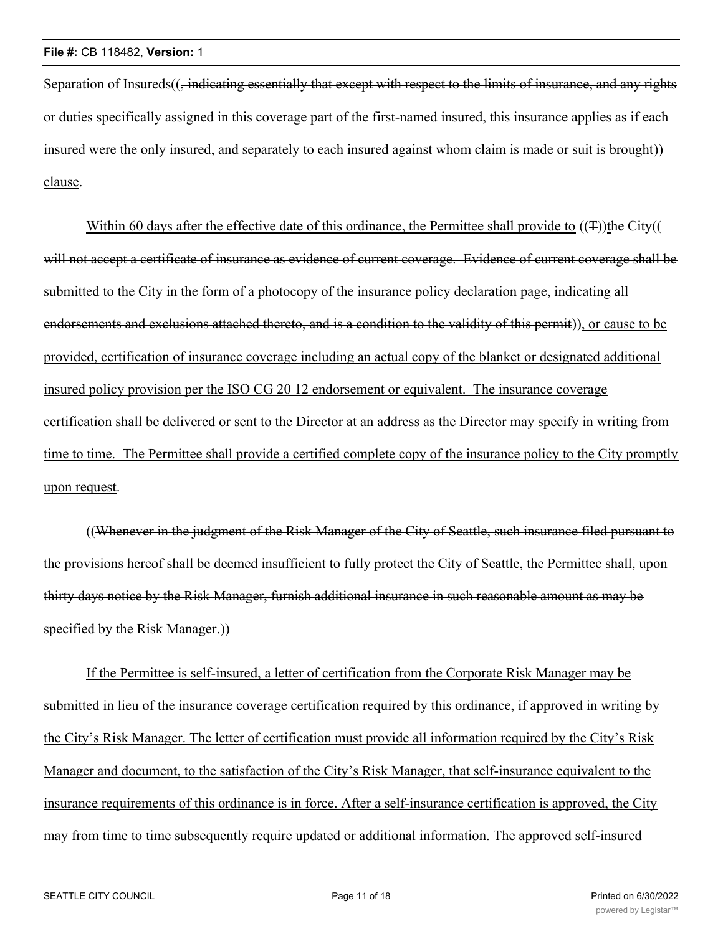Separation of Insureds((, indicating essentially that except with respect to the limits of insurance, and any rights or duties specifically assigned in this coverage part of the first-named insured, this insurance applies as if each insured were the only insured, and separately to each insured against whom claim is made or suit is brought)) clause.

Within 60 days after the effective date of this ordinance, the Permittee shall provide to  $((\texttt{F}))$ the City(( will not accept a certificate of insurance as evidence of current coverage. Evidence of current coverage shall be submitted to the City in the form of a photocopy of the insurance policy declaration page, indicating all endorsements and exclusions attached thereto, and is a condition to the validity of this permit)), or cause to be provided, certification of insurance coverage including an actual copy of the blanket or designated additional insured policy provision per the ISO CG 20 12 endorsement or equivalent. The insurance coverage certification shall be delivered or sent to the Director at an address as the Director may specify in writing from time to time. The Permittee shall provide a certified complete copy of the insurance policy to the City promptly upon request.

((Whenever in the judgment of the Risk Manager of the City of Seattle, such insurance filed pursuant to the provisions hereof shall be deemed insufficient to fully protect the City of Seattle, the Permittee shall, upon thirty days notice by the Risk Manager, furnish additional insurance in such reasonable amount as may be specified by the Risk Manager.))

If the Permittee is self-insured, a letter of certification from the Corporate Risk Manager may be submitted in lieu of the insurance coverage certification required by this ordinance, if approved in writing by the City's Risk Manager. The letter of certification must provide all information required by the City's Risk Manager and document, to the satisfaction of the City's Risk Manager, that self-insurance equivalent to the insurance requirements of this ordinance is in force. After a self-insurance certification is approved, the City may from time to time subsequently require updated or additional information. The approved self-insured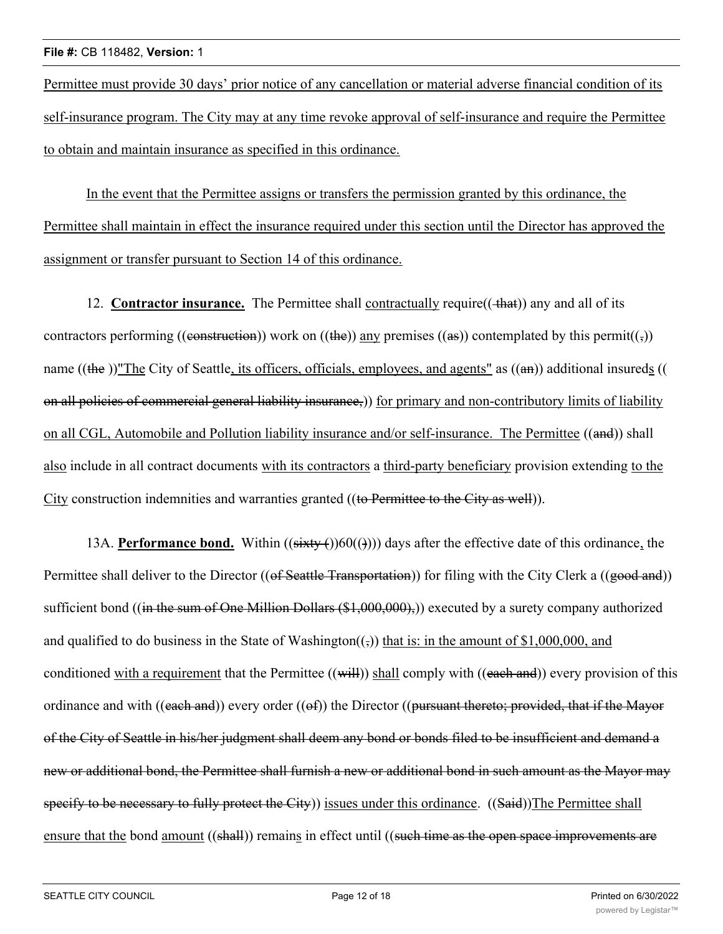Permittee must provide 30 days' prior notice of any cancellation or material adverse financial condition of its self-insurance program. The City may at any time revoke approval of self-insurance and require the Permittee to obtain and maintain insurance as specified in this ordinance.

In the event that the Permittee assigns or transfers the permission granted by this ordinance, the Permittee shall maintain in effect the insurance required under this section until the Director has approved the assignment or transfer pursuant to Section 14 of this ordinance.

12. **Contractor insurance.** The Permittee shall contractually require((+hat)) any and all of its contractors performing ((construction)) work on ((the)) any premises ((as)) contemplated by this permit(( $\epsilon$ )) name ((the ))"The City of Seattle, its officers, officials, employees, and agents" as  $((a\text{H})$  additional insureds (( on all policies of commercial general liability insurance,)) for primary and non-contributory limits of liability on all CGL, Automobile and Pollution liability insurance and/or self-insurance. The Permittee ((and)) shall also include in all contract documents with its contractors a third-party beneficiary provision extending to the City construction indemnities and warranties granted ((to Permittee to the City as well)).

13A. **Performance bond.** Within  $((sixty)(60)())$  days after the effective date of this ordinance, the Permittee shall deliver to the Director ((of Seattle Transportation)) for filing with the City Clerk a ((good and)) sufficient bond ((in the sum of One Million Dollars (\$1,000,000),)) executed by a surety company authorized and qualified to do business in the State of Washington( $\frac{1}{2}$ ) that is: in the amount of \$1,000,000, and conditioned with a requirement that the Permittee ((will)) shall comply with ((each and)) every provision of this ordinance and with ((each and)) every order (( $\Theta$ f)) the Director (( $\Theta$ ursuant thereto; provided, that if the Mayor of the City of Seattle in his/her judgment shall deem any bond or bonds filed to be insufficient and demand a new or additional bond, the Permittee shall furnish a new or additional bond in such amount as the Mayor may specify to be necessary to fully protect the City) issues under this ordinance. ((Said))The Permittee shall ensure that the bond amount ((shall)) remains in effect until ((such time as the open space improvements are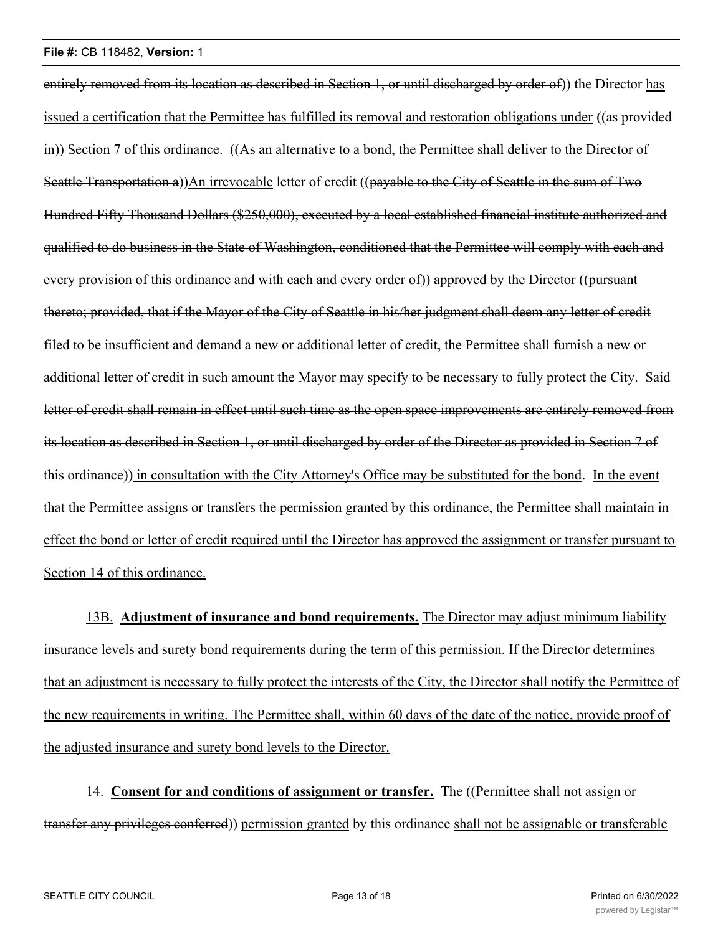entirely removed from its location as described in Section 1, or until discharged by order of) the Director has issued a certification that the Permittee has fulfilled its removal and restoration obligations under ((as provided in)) Section 7 of this ordinance. ((As an alternative to a bond, the Permittee shall deliver to the Director of Seattle Transportation a))An irrevocable letter of credit ((payable to the City of Seattle in the sum of Two Hundred Fifty Thousand Dollars (\$250,000), executed by a local established financial institute authorized and qualified to do business in the State of Washington, conditioned that the Permittee will comply with each and every provision of this ordinance and with each and every order of) approved by the Director ((pursuant thereto; provided, that if the Mayor of the City of Seattle in his/her judgment shall deem any letter of credit filed to be insufficient and demand a new or additional letter of credit, the Permittee shall furnish a new or additional letter of credit in such amount the Mayor may specify to be necessary to fully protect the City. Said letter of credit shall remain in effect until such time as the open space improvements are entirely removed from its location as described in Section 1, or until discharged by order of the Director as provided in Section 7 of this ordinance)) in consultation with the City Attorney's Office may be substituted for the bond. In the event that the Permittee assigns or transfers the permission granted by this ordinance, the Permittee shall maintain in effect the bond or letter of credit required until the Director has approved the assignment or transfer pursuant to Section 14 of this ordinance.

13B. **Adjustment of insurance and bond requirements.** The Director may adjust minimum liability insurance levels and surety bond requirements during the term of this permission. If the Director determines that an adjustment is necessary to fully protect the interests of the City, the Director shall notify the Permittee of the new requirements in writing. The Permittee shall, within 60 days of the date of the notice, provide proof of the adjusted insurance and surety bond levels to the Director.

14. **Consent for and conditions of assignment or transfer.** The ((Permittee shall not assign or transfer any privileges conferred)) permission granted by this ordinance shall not be assignable or transferable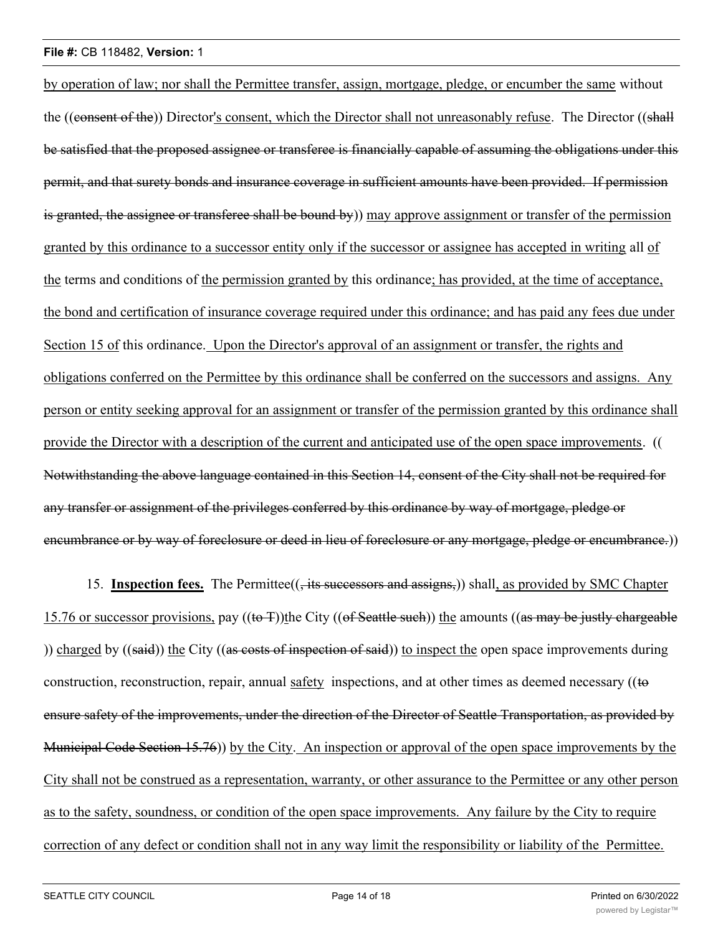by operation of law; nor shall the Permittee transfer, assign, mortgage, pledge, or encumber the same without the ((consent of the)) Director's consent, which the Director shall not unreasonably refuse. The Director ((shall be satisfied that the proposed assignee or transferee is financially capable of assuming the obligations under this permit, and that surety bonds and insurance coverage in sufficient amounts have been provided. If permission is granted, the assignee or transferee shall be bound by) may approve assignment or transfer of the permission granted by this ordinance to a successor entity only if the successor or assignee has accepted in writing all of the terms and conditions of the permission granted by this ordinance; has provided, at the time of acceptance, the bond and certification of insurance coverage required under this ordinance; and has paid any fees due under Section 15 of this ordinance. Upon the Director's approval of an assignment or transfer, the rights and obligations conferred on the Permittee by this ordinance shall be conferred on the successors and assigns. Any person or entity seeking approval for an assignment or transfer of the permission granted by this ordinance shall provide the Director with a description of the current and anticipated use of the open space improvements. (( Notwithstanding the above language contained in this Section 14, consent of the City shall not be required for any transfer or assignment of the privileges conferred by this ordinance by way of mortgage, pledge or encumbrance or by way of foreclosure or deed in lieu of foreclosure or any mortgage, pledge or encumbrance.)

15. **Inspection fees.** The Permittee(( $\frac{1}{15}$  successors and assigns,)) shall, as provided by SMC Chapter 15.76 or successor provisions, pay ((to T))the City ((of Seattle such)) the amounts ((as may be justly chargeable )) charged by ((said)) the City ((as costs of inspection of said)) to inspect the open space improvements during construction, reconstruction, repair, annual safety inspections, and at other times as deemed necessary ((to ensure safety of the improvements, under the direction of the Director of Seattle Transportation, as provided by Municipal Code Section 15.76)) by the City. An inspection or approval of the open space improvements by the City shall not be construed as a representation, warranty, or other assurance to the Permittee or any other person as to the safety, soundness, or condition of the open space improvements. Any failure by the City to require correction of any defect or condition shall not in any way limit the responsibility or liability of the Permittee.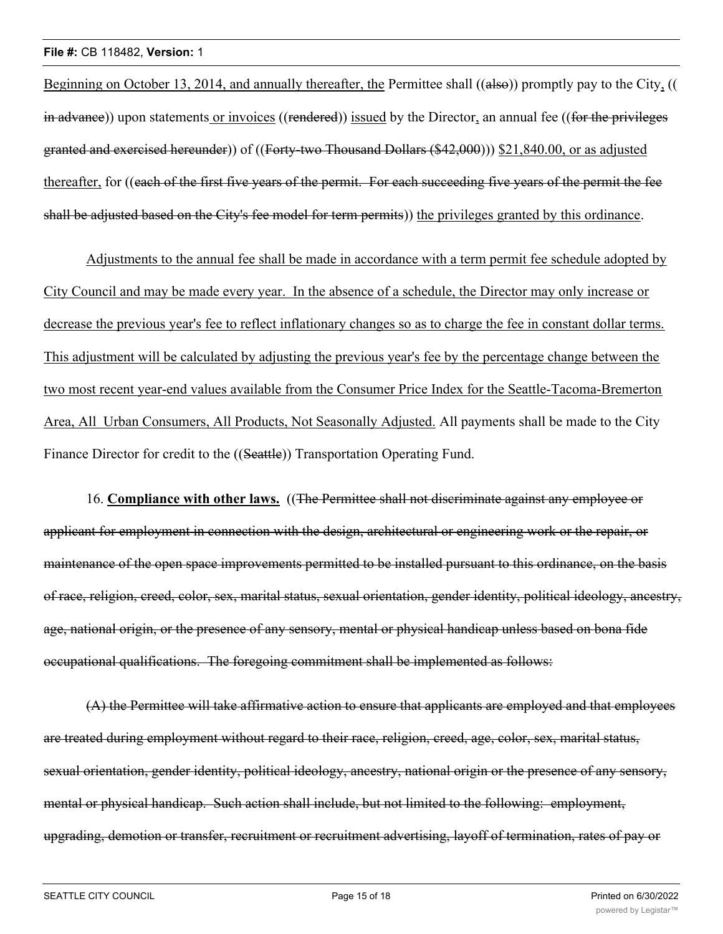Beginning on October 13, 2014, and annually thereafter, the Permittee shall ((also)) promptly pay to the City, (( in advance)) upon statements or invoices ((rendered)) issued by the Director, an annual fee ((for the privileges granted and exercised hereunder)) of ((Forty-two Thousand Dollars (\$42,000))) \$21,840.00, or as adjusted thereafter, for ((each of the first five years of the permit. For each succeeding five years of the permit the fee shall be adjusted based on the City's fee model for term permits) the privileges granted by this ordinance.

Adjustments to the annual fee shall be made in accordance with a term permit fee schedule adopted by City Council and may be made every year. In the absence of a schedule, the Director may only increase or decrease the previous year's fee to reflect inflationary changes so as to charge the fee in constant dollar terms. This adjustment will be calculated by adjusting the previous year's fee by the percentage change between the two most recent year-end values available from the Consumer Price Index for the Seattle-Tacoma-Bremerton Area, All Urban Consumers, All Products, Not Seasonally Adjusted. All payments shall be made to the City Finance Director for credit to the ((Seattle)) Transportation Operating Fund.

16. **Compliance with other laws.** ((The Permittee shall not discriminate against any employee or applicant for employment in connection with the design, architectural or engineering work or the repair, or maintenance of the open space improvements permitted to be installed pursuant to this ordinance, on the basis of race, religion, creed, color, sex, marital status, sexual orientation, gender identity, political ideology, ancestry, age, national origin, or the presence of any sensory, mental or physical handicap unless based on bona fide occupational qualifications. The foregoing commitment shall be implemented as follows:

(A) the Permittee will take affirmative action to ensure that applicants are employed and that employees are treated during employment without regard to their race, religion, creed, age, color, sex, marital status, sexual orientation, gender identity, political ideology, ancestry, national origin or the presence of any sensory, mental or physical handicap. Such action shall include, but not limited to the following: employment, upgrading, demotion or transfer, recruitment or recruitment advertising, layoff of termination, rates of pay or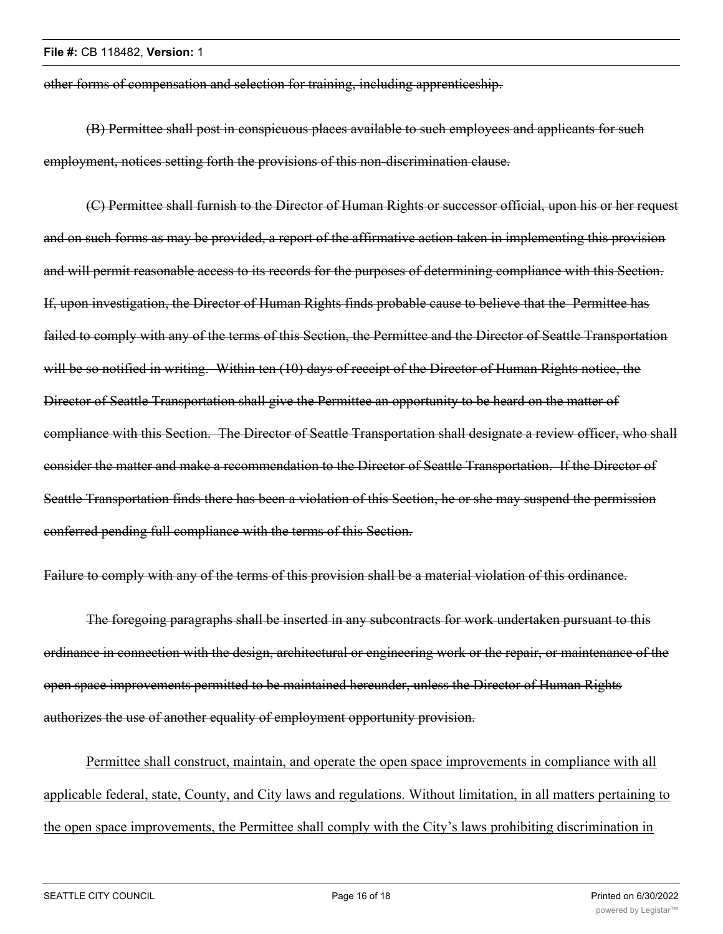other forms of compensation and selection for training, including apprenticeship.

(B) Permittee shall post in conspicuous places available to such employees and applicants for such employment, notices setting forth the provisions of this non-discrimination clause.

(C) Permittee shall furnish to the Director of Human Rights or successor official, upon his or her request and on such forms as may be provided, a report of the affirmative action taken in implementing this provision and will permit reasonable access to its records for the purposes of determining compliance with this Section. If, upon investigation, the Director of Human Rights finds probable cause to believe that the Permittee has failed to comply with any of the terms of this Section, the Permittee and the Director of Seattle Transportation will be so notified in writing. Within ten (10) days of receipt of the Director of Human Rights notice, the Director of Seattle Transportation shall give the Permittee an opportunity to be heard on the matter of compliance with this Section. The Director of Seattle Transportation shall designate a review officer, who shall consider the matter and make a recommendation to the Director of Seattle Transportation. If the Director of Seattle Transportation finds there has been a violation of this Section, he or she may suspend the permission conferred pending full compliance with the terms of this Section.

Failure to comply with any of the terms of this provision shall be a material violation of this ordinance.

The foregoing paragraphs shall be inserted in any subcontracts for work undertaken pursuant to this ordinance in connection with the design, architectural or engineering work or the repair, or maintenance of the open space improvements permitted to be maintained hereunder, unless the Director of Human Rights authorizes the use of another equality of employment opportunity provision.

Permittee shall construct, maintain, and operate the open space improvements in compliance with all applicable federal, state, County, and City laws and regulations. Without limitation, in all matters pertaining to the open space improvements, the Permittee shall comply with the City's laws prohibiting discrimination in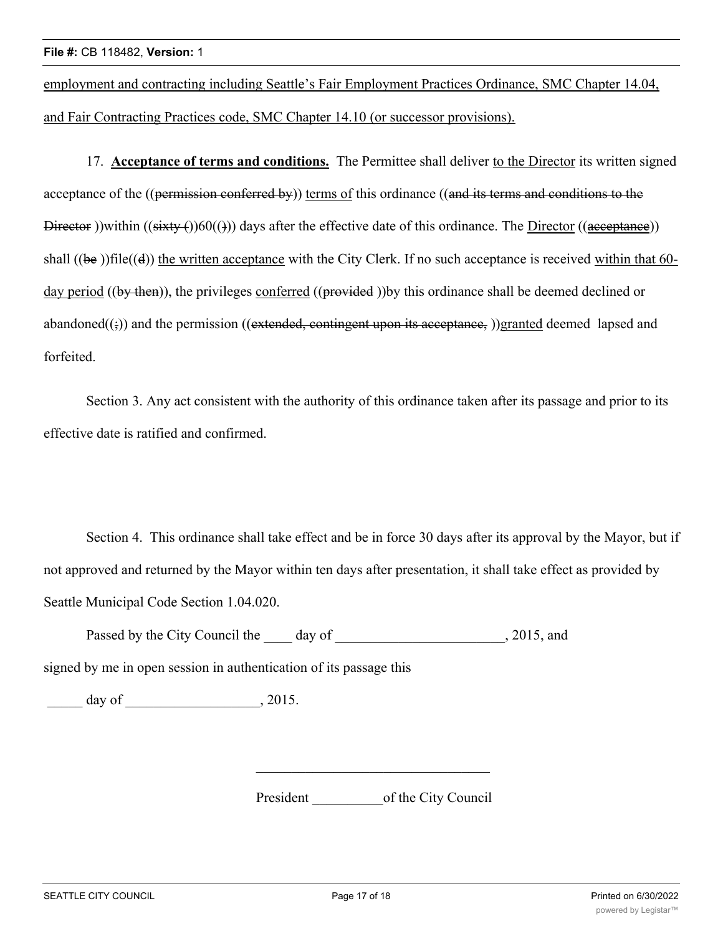employment and contracting including Seattle's Fair Employment Practices Ordinance, SMC Chapter 14.04, and Fair Contracting Practices code, SMC Chapter 14.10 (or successor provisions).

17. **Acceptance of terms and conditions.** The Permittee shall deliver to the Director its written signed acceptance of the ((permission conferred by)) terms of this ordinance ((and its terms and conditions to the Director ))within  $((sixty)(60)())$  days after the effective date of this ordinance. The Director  $((aceeptanee))$ shall ((be ))file((d)) the written acceptance with the City Clerk. If no such acceptance is received within that 60day period ((by then)), the privileges conferred ((provided)) by this ordinance shall be deemed declined or abandoned $((\xi))$  and the permission ((extended, contingent upon its acceptance, ))granted deemed lapsed and forfeited.

Section 3. Any act consistent with the authority of this ordinance taken after its passage and prior to its effective date is ratified and confirmed.

Section 4. This ordinance shall take effect and be in force 30 days after its approval by the Mayor, but if not approved and returned by the Mayor within ten days after presentation, it shall take effect as provided by Seattle Municipal Code Section 1.04.020.

Passed by the City Council the day of the case of the council  $\sim$ , 2015, and

signed by me in open session in authentication of its passage this

 $\frac{day}{f}$  of  $\frac{1}{2015}$ .

President of the City Council